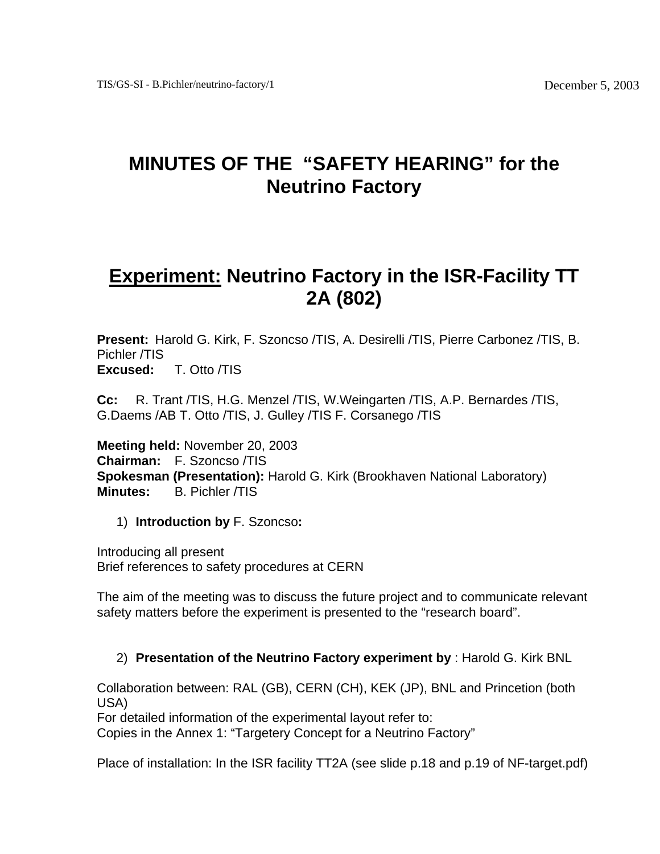# **MINUTES OF THE "SAFETY HEARING" for the Neutrino Factory**

# **Experiment: Neutrino Factory in the ISR-Facility TT 2A (802)**

**Present:** Harold G. Kirk, F. Szoncso /TIS, A. Desirelli /TIS, Pierre Carbonez /TIS, B. Pichler /TIS **Excused:** T. Otto /TIS

**Cc:** R. Trant /TIS, H.G. Menzel /TIS, W.Weingarten /TIS, A.P. Bernardes /TIS, G.Daems /AB T. Otto /TIS, J. Gulley /TIS F. Corsanego /TIS

**Meeting held:** November 20, 2003 **Chairman:** F. Szoncso /TIS **Spokesman (Presentation):** Harold G. Kirk (Brookhaven National Laboratory) **Minutes:** B. Pichler /TIS

1) **Introduction by** F. Szoncso**:** 

Introducing all present Brief references to safety procedures at CERN

The aim of the meeting was to discuss the future project and to communicate relevant safety matters before the experiment is presented to the "research board".

#### 2) **Presentation of the Neutrino Factory experiment by** : Harold G. Kirk BNL

Collaboration between: RAL (GB), CERN (CH), KEK (JP), BNL and Princetion (both USA)

For detailed information of the experimental layout refer to:

Copies in the Annex 1: "Targetery Concept for a Neutrino Factory"

Place of installation: In the ISR facility TT2A (see slide p.18 and p.19 of NF-target.pdf)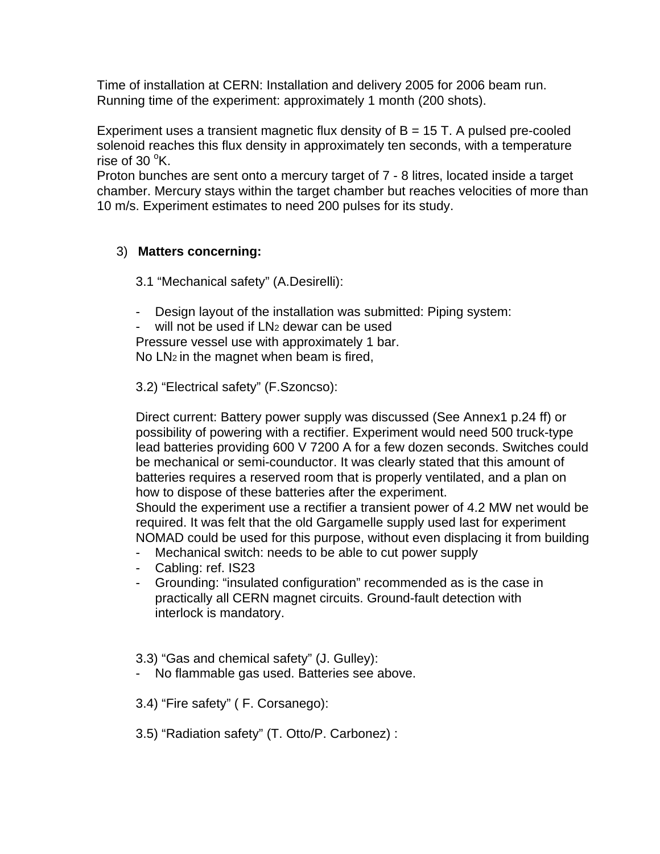Time of installation at CERN: Installation and delivery 2005 for 2006 beam run. Running time of the experiment: approximately 1 month (200 shots).

Experiment uses a transient magnetic flux density of  $B = 15$  T. A pulsed pre-cooled solenoid reaches this flux density in approximately ten seconds, with a temperature rise of 30 $\,^{\circ}$ K.

Proton bunches are sent onto a mercury target of 7 - 8 litres, located inside a target chamber. Mercury stays within the target chamber but reaches velocities of more than 10 m/s. Experiment estimates to need 200 pulses for its study.

### 3) **Matters concerning:**

3.1 "Mechanical safety" (A.Desirelli):

- Design layout of the installation was submitted: Piping system:
- will not be used if LN2 dewar can be used

Pressure vessel use with approximately 1 bar. No LN2 in the magnet when beam is fired,

3.2) "Electrical safety" (F.Szoncso):

Direct current: Battery power supply was discussed (See Annex1 p.24 ff) or possibility of powering with a rectifier. Experiment would need 500 truck-type lead batteries providing 600 V 7200 A for a few dozen seconds. Switches could be mechanical or semi-counductor. It was clearly stated that this amount of batteries requires a reserved room that is properly ventilated, and a plan on how to dispose of these batteries after the experiment.

Should the experiment use a rectifier a transient power of 4.2 MW net would be required. It was felt that the old Gargamelle supply used last for experiment NOMAD could be used for this purpose, without even displacing it from building

- Mechanical switch: needs to be able to cut power supply
- Cabling: ref. IS23
- Grounding: "insulated configuration" recommended as is the case in practically all CERN magnet circuits. Ground-fault detection with interlock is mandatory.

3.3) "Gas and chemical safety" (J. Gulley):

- No flammable gas used. Batteries see above.
- 3.4) "Fire safety" ( F. Corsanego):
- 3.5) "Radiation safety" (T. Otto/P. Carbonez) :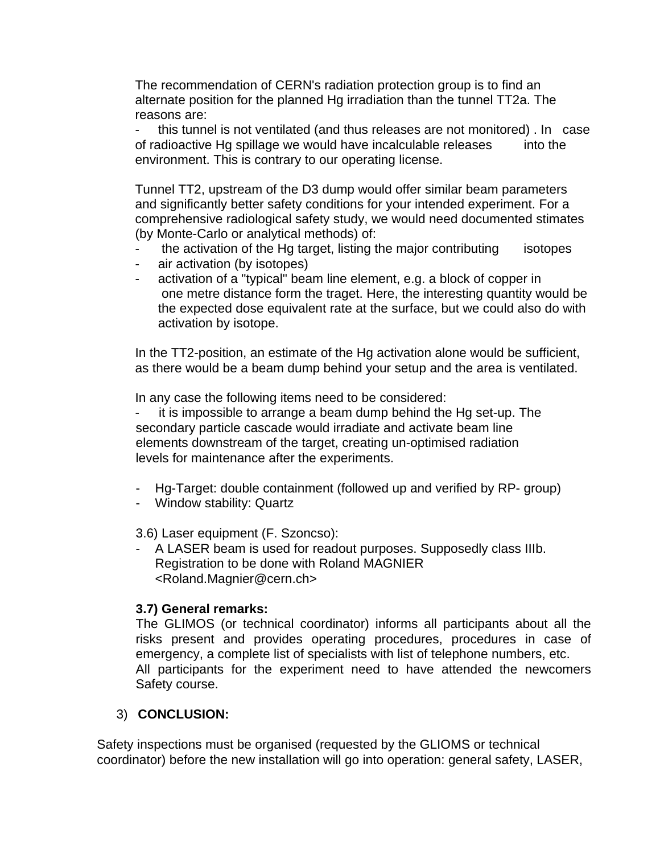The recommendation of CERN's radiation protection group is to find an alternate position for the planned Hg irradiation than the tunnel TT2a. The reasons are:

- this tunnel is not ventilated (and thus releases are not monitored) . In case of radioactive Hg spillage we would have incalculable releases into the environment. This is contrary to our operating license.

Tunnel TT2, upstream of the D3 dump would offer similar beam parameters and significantly better safety conditions for your intended experiment. For a comprehensive radiological safety study, we would need documented stimates (by Monte-Carlo or analytical methods) of:

- the activation of the Hg target, listing the major contributing isotopes
- air activation (by isotopes)
- activation of a "typical" beam line element, e.g. a block of copper in one metre distance form the traget. Here, the interesting quantity would be the expected dose equivalent rate at the surface, but we could also do with activation by isotope.

In the TT2-position, an estimate of the Hg activation alone would be sufficient, as there would be a beam dump behind your setup and the area is ventilated.

In any case the following items need to be considered:

it is impossible to arrange a beam dump behind the Hg set-up. The secondary particle cascade would irradiate and activate beam line elements downstream of the target, creating un-optimised radiation levels for maintenance after the experiments.

- Hg-Target: double containment (followed up and verified by RP- group)
- Window stability: Quartz

3.6) Laser equipment (F. Szoncso):

- A LASER beam is used for readout purposes. Supposedly class IIIb. Registration to be done with Roland MAGNIER <Roland.Magnier@cern.ch>

### **3.7) General remarks:**

The GLIMOS (or technical coordinator) informs all participants about all the risks present and provides operating procedures, procedures in case of emergency, a complete list of specialists with list of telephone numbers, etc. All participants for the experiment need to have attended the newcomers Safety course.

### 3) **CONCLUSION:**

Safety inspections must be organised (requested by the GLIOMS or technical coordinator) before the new installation will go into operation: general safety, LASER,